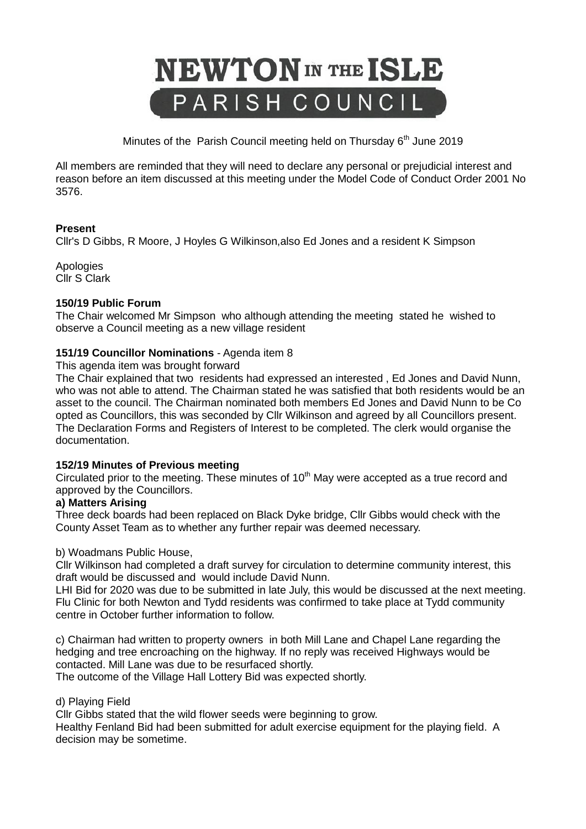

Minutes of the Parish Council meeting held on Thursday  $6<sup>th</sup>$  June 2019

All members are reminded that they will need to declare any personal or prejudicial interest and reason before an item discussed at this meeting under the Model Code of Conduct Order 2001 No 3576.

# **Present**

Cllr's D Gibbs, R Moore, J Hoyles G Wilkinson,also Ed Jones and a resident K Simpson

Apologies Cllr S Clark

# **150/19 Public Forum**

The Chair welcomed Mr Simpson who although attending the meeting stated he wished to observe a Council meeting as a new village resident

# **151/19 Councillor Nominations** - Agenda item 8

This agenda item was brought forward

The Chair explained that two residents had expressed an interested , Ed Jones and David Nunn, who was not able to attend. The Chairman stated he was satisfied that both residents would be an asset to the council. The Chairman nominated both members Ed Jones and David Nunn to be Co opted as Councillors, this was seconded by Cllr Wilkinson and agreed by all Councillors present. The Declaration Forms and Registers of Interest to be completed. The clerk would organise the documentation.

# **152/19 Minutes of Previous meeting**

Circulated prior to the meeting. These minutes of  $10<sup>th</sup>$  May were accepted as a true record and approved by the Councillors.

# **a) Matters Arising**

Three deck boards had been replaced on Black Dyke bridge, Cllr Gibbs would check with the County Asset Team as to whether any further repair was deemed necessary.

# b) Woadmans Public House,

Cllr Wilkinson had completed a draft survey for circulation to determine community interest, this draft would be discussed and would include David Nunn.

LHI Bid for 2020 was due to be submitted in late July, this would be discussed at the next meeting. Flu Clinic for both Newton and Tydd residents was confirmed to take place at Tydd community centre in October further information to follow.

c) Chairman had written to property owners in both Mill Lane and Chapel Lane regarding the hedging and tree encroaching on the highway. If no reply was received Highways would be contacted. Mill Lane was due to be resurfaced shortly.

The outcome of the Village Hall Lottery Bid was expected shortly.

# d) Playing Field

Cllr Gibbs stated that the wild flower seeds were beginning to grow.

Healthy Fenland Bid had been submitted for adult exercise equipment for the playing field. A decision may be sometime.